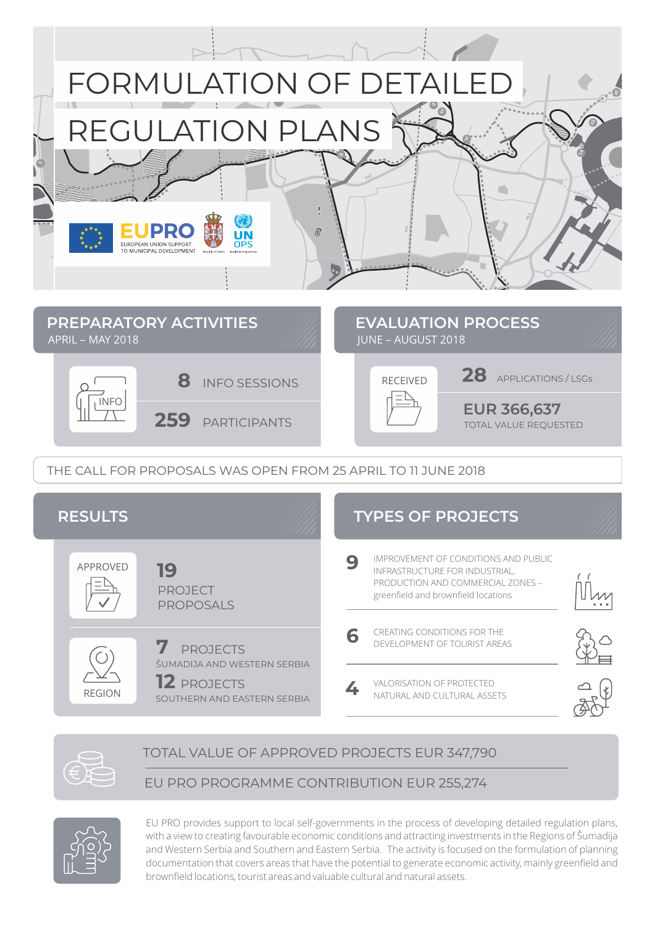

THE CALL FOR PROPOSALS WAS OPEN FROM 25 APRIL TO 11 JUNE 2018



## TOTAL VALUE OF APPROVED PROJECTS EUR 347,790

## EU PRO PROGRAMME CONTRIBUTION EUR 255,274



EU PRO provides support to local self-governments in the process of developing detailed regulation plans, with a view to creating favourable economic conditions and attracting investments in the Regions of Šumadija and Western Serbia and Southern and Eastern Serbia. The activity is focused on the formulation of planning documentation that covers areas that have the potential to generate economic activity, mainly greenfield and brownfield locations, tourist areas and valuable cultural and natural assets.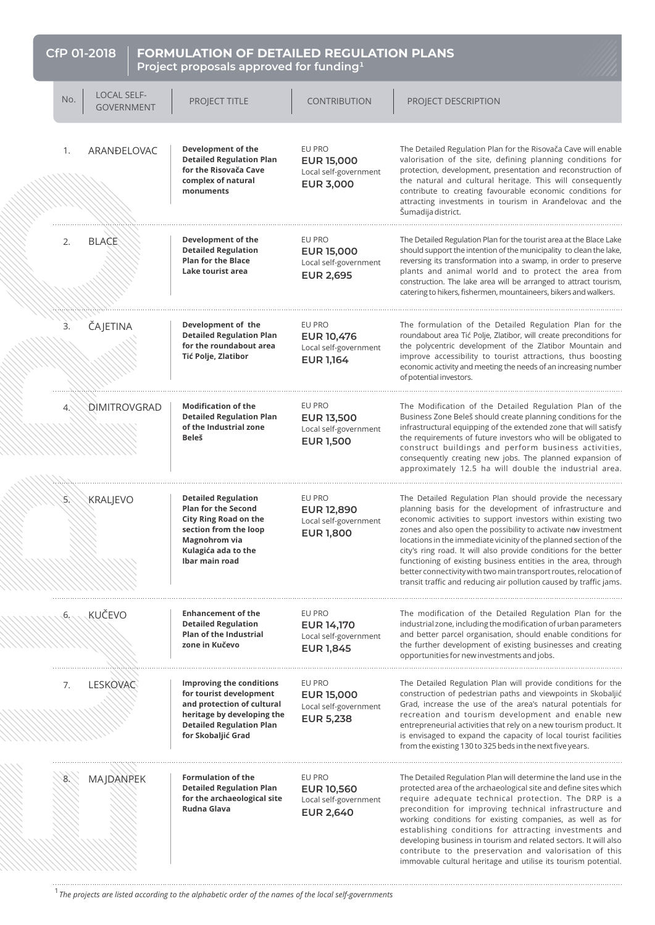## **CfP 01-2018 FORMULATION OF DETAILED REGULATION PLANS Project proposals approved for funding**<sup>1</sup>

| No. | <b>LOCAL SELF-</b><br><b>GOVERNMENT</b> | PROJECT TITLE                                                                                                                                                               | <b>CONTRIBUTION</b>                                                      | PROJECT DESCRIPTION                                                                                                                                                                                                                                                                                                                                                                                                                                                                                                                                                                                           |
|-----|-----------------------------------------|-----------------------------------------------------------------------------------------------------------------------------------------------------------------------------|--------------------------------------------------------------------------|---------------------------------------------------------------------------------------------------------------------------------------------------------------------------------------------------------------------------------------------------------------------------------------------------------------------------------------------------------------------------------------------------------------------------------------------------------------------------------------------------------------------------------------------------------------------------------------------------------------|
| 1.  | ARANĐELOVAC                             | Development of the<br><b>Detailed Regulation Plan</b><br>for the Risovača Cave<br>complex of natural<br>monuments                                                           | EU PRO<br><b>EUR 15,000</b><br>Local self-government<br><b>EUR 3,000</b> | The Detailed Regulation Plan for the Risovača Cave will enable<br>valorisation of the site, defining planning conditions for<br>protection, development, presentation and reconstruction of<br>the natural and cultural heritage. This will consequently<br>contribute to creating favourable economic conditions for<br>attracting investments in tourism in Aranđelovac and the<br>Šumadija district.                                                                                                                                                                                                       |
| 2.  | <b>BLACE</b>                            | Development of the<br><b>Detailed Regulation</b><br><b>Plan for the Blace</b><br>Lake tourist area                                                                          | EU PRO<br><b>EUR 15,000</b><br>Local self-government<br><b>EUR 2,695</b> | The Detailed Regulation Plan for the tourist area at the Blace Lake<br>should support the intention of the municipality to clean the lake,<br>reversing its transformation into a swamp, in order to preserve<br>plants and animal world and to protect the area from<br>construction. The lake area will be arranged to attract tourism,<br>catering to hikers, fishermen, mountaineers, bikers and walkers.                                                                                                                                                                                                 |
| 3.  | ČAJETINA                                | Development of the<br><b>Detailed Regulation Plan</b><br>for the roundabout area<br>Tić Polje, Zlatibor                                                                     | EU PRO<br><b>EUR 10,476</b><br>Local self-government<br><b>EUR 1,164</b> | The formulation of the Detailed Regulation Plan for the<br>roundabout area Tić Polje, Zlatibor, will create preconditions for<br>the polycentric development of the Zlatibor Mountain and<br>improve accessibility to tourist attractions, thus boosting<br>economic activity and meeting the needs of an increasing number<br>of potential investors.                                                                                                                                                                                                                                                        |
| 4.  | DIMITROVGRAD                            | <b>Modification of the</b><br><b>Detailed Regulation Plan</b><br>of the Industrial zone<br><b>Beleš</b>                                                                     | EU PRO<br><b>EUR 13,500</b><br>Local self-government<br><b>EUR 1,500</b> | The Modification of the Detailed Regulation Plan of the<br>Business Zone Beleš should create planning conditions for the<br>infrastructural equipping of the extended zone that will satisfy<br>the requirements of future investors who will be obligated to<br>construct buildings and perform business activities,<br>consequently creating new jobs. The planned expansion of<br>approximately 12.5 ha will double the industrial area.                                                                                                                                                                   |
| 5.  | <b>KRALJEVO</b>                         | <b>Detailed Regulation</b><br><b>Plan for the Second</b><br><b>City Ring Road on the</b><br>section from the loop<br>Magnohrom via<br>Kulagića ada to the<br>Ibar main road | EU PRO<br><b>EUR 12,890</b><br>Local self-government<br><b>EUR 1,800</b> | The Detailed Regulation Plan should provide the necessary<br>planning basis for the development of infrastructure and<br>economic activities to support investors within existing two<br>zones and also open the possibility to activate new investment<br>locations in the immediate vicinity of the planned section of the<br>city's ring road. It will also provide conditions for the better<br>functioning of existing business entities in the area, through<br>better connectivity with two main transport routes, relocation of<br>transit traffic and reducing air pollution caused by traffic jams. |
| 6.  | <b>KUČEVO</b>                           | <b>Enhancement of the</b><br><b>Detailed Regulation</b><br><b>Plan of the Industrial</b><br>zone in Kučevo                                                                  | EU PRO<br><b>EUR 14,170</b><br>Local self-government<br><b>EUR 1,845</b> | The modification of the Detailed Regulation Plan for the<br>industrial zone, including the modification of urban parameters<br>and better parcel organisation, should enable conditions for<br>the further development of existing businesses and creating<br>opportunities for new investments and jobs.                                                                                                                                                                                                                                                                                                     |
| 7.  | LESKOVAC                                | Improving the conditions<br>for tourist development<br>and protection of cultural<br>heritage by developing the<br><b>Detailed Regulation Plan</b><br>for Skobaljić Grad    | EU PRO<br><b>EUR 15,000</b><br>Local self-government<br><b>EUR 5,238</b> | The Detailed Regulation Plan will provide conditions for the<br>construction of pedestrian paths and viewpoints in Skobaljić<br>Grad, increase the use of the area's natural potentials for<br>recreation and tourism development and enable new<br>entrepreneurial activities that rely on a new tourism product. It<br>is envisaged to expand the capacity of local tourist facilities<br>from the existing 130 to 325 beds in the next five years.                                                                                                                                                         |
|     | MAJDANPEK                               | <b>Formulation of the</b><br><b>Detailed Regulation Plan</b><br>for the archaeological site<br>Rudna Glava                                                                  | EU PRO<br><b>EUR 10,560</b><br>Local self-government<br><b>EUR 2,640</b> | The Detailed Regulation Plan will determine the land use in the<br>protected area of the archaeological site and define sites which<br>require adequate technical protection. The DRP is a<br>precondition for improving technical infrastructure and<br>working conditions for existing companies, as well as for<br>establishing conditions for attracting investments and<br>developing business in tourism and related sectors. It will also<br>contribute to the preservation and valorisation of this<br>immovable cultural heritage and utilise its tourism potential.                                 |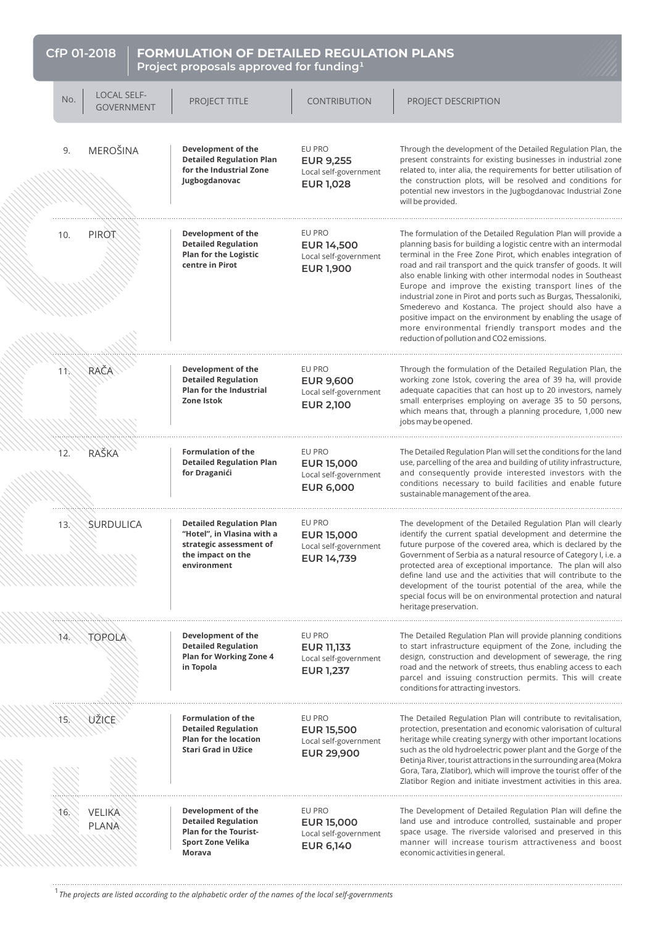| CfP 01-2018<br><b>FORMULATION OF DETAILED REGULATION PLANS</b><br>Project proposals approved for funding <sup>1</sup> |                                         |                                                                                                                              |                                                                           |                                                                                                                                                                                                                                                                                                                                                                                                                                                                                                                                                                                                                                                                                                    |  |
|-----------------------------------------------------------------------------------------------------------------------|-----------------------------------------|------------------------------------------------------------------------------------------------------------------------------|---------------------------------------------------------------------------|----------------------------------------------------------------------------------------------------------------------------------------------------------------------------------------------------------------------------------------------------------------------------------------------------------------------------------------------------------------------------------------------------------------------------------------------------------------------------------------------------------------------------------------------------------------------------------------------------------------------------------------------------------------------------------------------------|--|
| No.                                                                                                                   | <b>LOCAL SELF-</b><br><b>GOVERNMENT</b> | PROJECT TITLE                                                                                                                | <b>CONTRIBUTION</b>                                                       | PROJECT DESCRIPTION                                                                                                                                                                                                                                                                                                                                                                                                                                                                                                                                                                                                                                                                                |  |
| 9.                                                                                                                    | <b>MEROŠINA</b>                         | Development of the<br><b>Detailed Regulation Plan</b><br>for the Industrial Zone<br>Jugbogdanovac                            | EU PRO<br><b>EUR 9.255</b><br>Local self-government<br><b>EUR 1,028</b>   | Through the development of the Detailed Regulation Plan, the<br>present constraints for existing businesses in industrial zone<br>related to, inter alia, the requirements for better utilisation of<br>the construction plots, will be resolved and conditions for<br>potential new investors in the Jugbogdanovac Industrial Zone<br>will be provided.                                                                                                                                                                                                                                                                                                                                           |  |
| 10.                                                                                                                   | PIROT                                   | Development of the<br><b>Detailed Regulation</b><br><b>Plan for the Logistic</b><br>centre in Pirot                          | EU PRO<br><b>EUR 14,500</b><br>Local self-government<br><b>EUR 1,900</b>  | The formulation of the Detailed Regulation Plan will provide a<br>planning basis for building a logistic centre with an intermodal<br>terminal in the Free Zone Pirot, which enables integration of<br>road and rail transport and the quick transfer of goods. It will<br>also enable linking with other intermodal nodes in Southeast<br>Europe and improve the existing transport lines of the<br>industrial zone in Pirot and ports such as Burgas, Thessaloniki,<br>Smederevo and Kostanca. The project should also have a<br>positive impact on the environment by enabling the usage of<br>more environmental friendly transport modes and the<br>reduction of pollution and CO2 emissions. |  |
| $1\%$                                                                                                                 | RAČA                                    | Development of the<br><b>Detailed Regulation</b><br><b>Plan for the Industrial</b><br>Zone Istok                             | EU PRO<br><b>EUR 9,600</b><br>Local self-government<br><b>EUR 2,100</b>   | Through the formulation of the Detailed Regulation Plan, the<br>working zone Istok, covering the area of 39 ha, will provide<br>adequate capacities that can host up to 20 investors, namely<br>small enterprises employing on average 35 to 50 persons,<br>which means that, through a planning procedure, 1,000 new<br>jobs may be opened.                                                                                                                                                                                                                                                                                                                                                       |  |
| 12.                                                                                                                   | <b>RAŠKA</b>                            | <b>Formulation of the</b><br><b>Detailed Regulation Plan</b><br>for Draganići                                                | EU PRO<br><b>EUR 15,000</b><br>Local self-government<br><b>EUR 6,000</b>  | The Detailed Regulation Plan will set the conditions for the land<br>use, parcelling of the area and building of utility infrastructure,<br>and consequently provide interested investors with the<br>conditions necessary to build facilities and enable future<br>sustainable management of the area.                                                                                                                                                                                                                                                                                                                                                                                            |  |
| 13.                                                                                                                   | SURDULICA                               | <b>Detailed Regulation Plan</b><br>"Hotel", in Vlasina with a<br>strategic assessment of<br>the impact on the<br>environment | EU PRO<br><b>EUR 15,000</b><br>Local self-government<br><b>EUR 14,739</b> | The development of the Detailed Regulation Plan will clearly<br>identify the current spatial development and determine the<br>future purpose of the covered area, which is declared by the<br>Government of Serbia as a natural resource of Category I, i.e. a<br>protected area of exceptional importance. The plan will also<br>define land use and the activities that will contribute to the<br>development of the tourist potential of the area, while the<br>special focus will be on environmental protection and natural<br>heritage preservation.                                                                                                                                         |  |
| 14.                                                                                                                   | TOPOLA                                  | Development of the<br><b>Detailed Regulation</b><br><b>Plan for Working Zone 4</b><br>in Topola                              | EU PRO<br><b>EUR 11,133</b><br>Local self-government<br><b>EUR 1,237</b>  | The Detailed Regulation Plan will provide planning conditions<br>to start infrastructure equipment of the Zone, including the<br>design, construction and development of sewerage, the ring<br>road and the network of streets, thus enabling access to each<br>parcel and issuing construction permits. This will create<br>conditions for attracting investors.                                                                                                                                                                                                                                                                                                                                  |  |
| 15,                                                                                                                   | UŽICE                                   | <b>Formulation of the</b><br><b>Detailed Regulation</b><br><b>Plan for the location</b><br>Stari Grad in Užice               | EU PRO<br><b>EUR 15,500</b><br>Local self-government<br><b>EUR 29,900</b> | The Detailed Regulation Plan will contribute to revitalisation,<br>protection, presentation and economic valorisation of cultural<br>heritage while creating synergy with other important locations<br>such as the old hydroelectric power plant and the Gorge of the<br>Đetinja River, tourist attractions in the surrounding area (Mokra<br>Gora, Tara, Zlatibor), which will improve the tourist offer of the<br>Zlatibor Region and initiate investment activities in this area.                                                                                                                                                                                                               |  |
| 16,                                                                                                                   | <b>VELIKA</b><br><b>PLANA</b>           | Development of the<br><b>Detailed Regulation</b><br>Plan for the Tourist-<br>Sport Zone Velika<br>Morava                     | EU PRO<br><b>EUR 15,000</b><br>Local self-government<br><b>EUR 6,140</b>  | The Development of Detailed Regulation Plan will define the<br>land use and introduce controlled, sustainable and proper<br>space usage. The riverside valorised and preserved in this<br>manner will increase tourism attractiveness and boost<br>economic activities in general.                                                                                                                                                                                                                                                                                                                                                                                                                 |  |

e de la composición de la composición de la composición de la composición de la composición de la composición

<u>MANAS S</u>